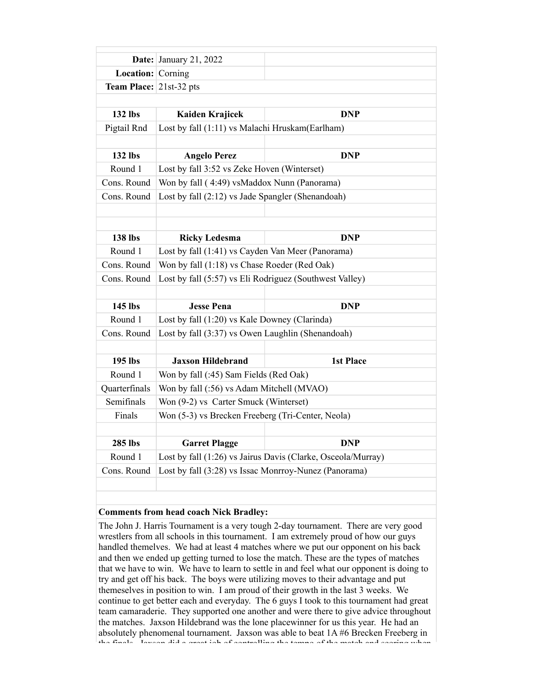|                                 | Date: January 21, 2022                                       |                  |
|---------------------------------|--------------------------------------------------------------|------------------|
| <b>Location:</b> Corning        |                                                              |                  |
| <b>Team Place:</b> $21st-32pts$ |                                                              |                  |
|                                 |                                                              |                  |
| 132 lbs                         | Kaiden Krajicek                                              | <b>DNP</b>       |
| Pigtail Rnd                     | Lost by fall (1:11) vs Malachi Hruskam(Earlham)              |                  |
|                                 |                                                              |                  |
| 132 lbs                         | <b>Angelo Perez</b>                                          | <b>DNP</b>       |
| Round 1                         | Lost by fall 3:52 vs Zeke Hoven (Winterset)                  |                  |
| Cons. Round                     | Won by fall (4:49) vsMaddox Nunn (Panorama)                  |                  |
| Cons. Round                     | Lost by fall (2:12) vs Jade Spangler (Shenandoah)            |                  |
|                                 |                                                              |                  |
|                                 |                                                              |                  |
| 138 lbs                         | <b>Ricky Ledesma</b>                                         | <b>DNP</b>       |
| Round 1                         | Lost by fall (1:41) vs Cayden Van Meer (Panorama)            |                  |
| Cons. Round                     | Won by fall (1:18) vs Chase Roeder (Red Oak)                 |                  |
| Cons. Round                     | Lost by fall (5:57) vs Eli Rodriguez (Southwest Valley)      |                  |
|                                 |                                                              |                  |
| 145 lbs                         | <b>Jesse Pena</b>                                            | <b>DNP</b>       |
| Round 1                         | Lost by fall (1:20) vs Kale Downey (Clarinda)                |                  |
| Cons. Round                     | Lost by fall (3:37) vs Owen Laughlin (Shenandoah)            |                  |
|                                 |                                                              |                  |
| 195 lbs                         | <b>Jaxson Hildebrand</b>                                     | <b>1st Place</b> |
| Round 1                         | Won by fall (:45) Sam Fields (Red Oak)                       |                  |
| Quarterfinals                   | Won by fall (:56) vs Adam Mitchell (MVAO)                    |                  |
| Semifinals                      | Won (9-2) vs Carter Smuck (Winterset)                        |                  |
| Finals                          | Won (5-3) vs Brecken Freeberg (Tri-Center, Neola)            |                  |
|                                 |                                                              |                  |
| 285 lbs                         | <b>Garret Plagge</b>                                         | <b>DNP</b>       |
| Round 1                         | Lost by fall (1:26) vs Jairus Davis (Clarke, Osceola/Murray) |                  |
| Cons. Round                     | Lost by fall (3:28) vs Issac Monrroy-Nunez (Panorama)        |                  |
|                                 |                                                              |                  |

## **Comments from head coach Nick Bradley:**

The John J. Harris Tournament is a very tough 2-day tournament. There are very good wrestlers from all schools in this tournament. I am extremely proud of how our guys handled themelves. We had at least 4 matches where we put our opponent on his back and then we ended up getting turned to lose the match. These are the types of matches that we have to win. We have to learn to settle in and feel what our opponent is doing to try and get off his back. The boys were utilizing moves to their advantage and put themeselves in position to win. I am proud of their growth in the last 3 weeks. We continue to get better each and everyday. The 6 guys I took to this tournament had great team camaraderie. They supported one another and were there to give advice throughout the matches. Jaxson Hildebrand was the lone placewinner for us this year. He had an absolutely phenomenal tournament. Jaxson was able to beat 1A #6 Brecken Freeberg in the finals. Jaxson did a great job of controlling the tempo of the match and scoring when